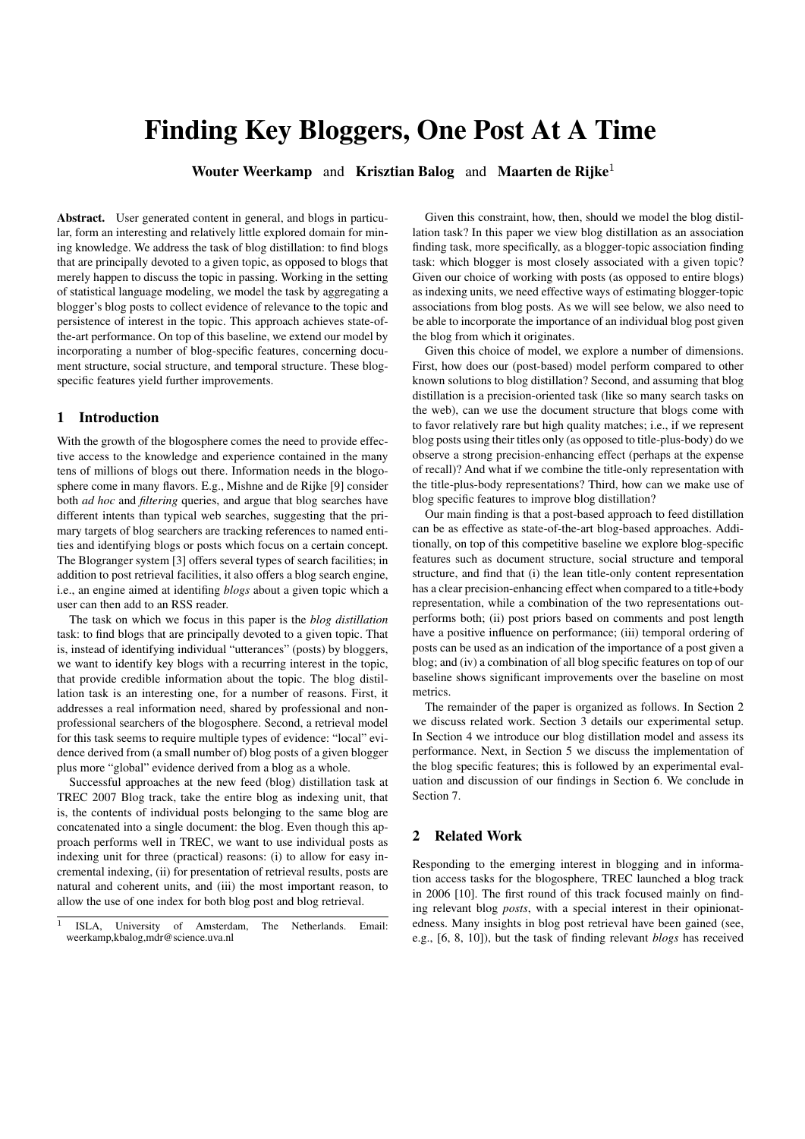# Finding Key Bloggers, One Post At A Time

Wouter Weerkamp and Krisztian Balog and Maarten de Rijke<sup>1</sup>

Abstract. User generated content in general, and blogs in particular, form an interesting and relatively little explored domain for mining knowledge. We address the task of blog distillation: to find blogs that are principally devoted to a given topic, as opposed to blogs that merely happen to discuss the topic in passing. Working in the setting of statistical language modeling, we model the task by aggregating a blogger's blog posts to collect evidence of relevance to the topic and persistence of interest in the topic. This approach achieves state-ofthe-art performance. On top of this baseline, we extend our model by incorporating a number of blog-specific features, concerning document structure, social structure, and temporal structure. These blogspecific features yield further improvements.

### 1 Introduction

With the growth of the blogosphere comes the need to provide effective access to the knowledge and experience contained in the many tens of millions of blogs out there. Information needs in the blogosphere come in many flavors. E.g., Mishne and de Rijke [9] consider both *ad hoc* and *filtering* queries, and argue that blog searches have different intents than typical web searches, suggesting that the primary targets of blog searchers are tracking references to named entities and identifying blogs or posts which focus on a certain concept. The Blogranger system [3] offers several types of search facilities; in addition to post retrieval facilities, it also offers a blog search engine, i.e., an engine aimed at identifing *blogs* about a given topic which a user can then add to an RSS reader.

The task on which we focus in this paper is the *blog distillation* task: to find blogs that are principally devoted to a given topic. That is, instead of identifying individual "utterances" (posts) by bloggers, we want to identify key blogs with a recurring interest in the topic, that provide credible information about the topic. The blog distillation task is an interesting one, for a number of reasons. First, it addresses a real information need, shared by professional and nonprofessional searchers of the blogosphere. Second, a retrieval model for this task seems to require multiple types of evidence: "local" evidence derived from (a small number of) blog posts of a given blogger plus more "global" evidence derived from a blog as a whole.

Successful approaches at the new feed (blog) distillation task at TREC 2007 Blog track, take the entire blog as indexing unit, that is, the contents of individual posts belonging to the same blog are concatenated into a single document: the blog. Even though this approach performs well in TREC, we want to use individual posts as indexing unit for three (practical) reasons: (i) to allow for easy incremental indexing, (ii) for presentation of retrieval results, posts are natural and coherent units, and (iii) the most important reason, to allow the use of one index for both blog post and blog retrieval.

Given this constraint, how, then, should we model the blog distillation task? In this paper we view blog distillation as an association finding task, more specifically, as a blogger-topic association finding task: which blogger is most closely associated with a given topic? Given our choice of working with posts (as opposed to entire blogs) as indexing units, we need effective ways of estimating blogger-topic associations from blog posts. As we will see below, we also need to be able to incorporate the importance of an individual blog post given the blog from which it originates.

Given this choice of model, we explore a number of dimensions. First, how does our (post-based) model perform compared to other known solutions to blog distillation? Second, and assuming that blog distillation is a precision-oriented task (like so many search tasks on the web), can we use the document structure that blogs come with to favor relatively rare but high quality matches; i.e., if we represent blog posts using their titles only (as opposed to title-plus-body) do we observe a strong precision-enhancing effect (perhaps at the expense of recall)? And what if we combine the title-only representation with the title-plus-body representations? Third, how can we make use of blog specific features to improve blog distillation?

Our main finding is that a post-based approach to feed distillation can be as effective as state-of-the-art blog-based approaches. Additionally, on top of this competitive baseline we explore blog-specific features such as document structure, social structure and temporal structure, and find that (i) the lean title-only content representation has a clear precision-enhancing effect when compared to a title+body representation, while a combination of the two representations outperforms both; (ii) post priors based on comments and post length have a positive influence on performance; (iii) temporal ordering of posts can be used as an indication of the importance of a post given a blog; and (iv) a combination of all blog specific features on top of our baseline shows significant improvements over the baseline on most metrics.

The remainder of the paper is organized as follows. In Section 2 we discuss related work. Section 3 details our experimental setup. In Section 4 we introduce our blog distillation model and assess its performance. Next, in Section 5 we discuss the implementation of the blog specific features; this is followed by an experimental evaluation and discussion of our findings in Section 6. We conclude in Section 7.

## 2 Related Work

Responding to the emerging interest in blogging and in information access tasks for the blogosphere, TREC launched a blog track in 2006 [10]. The first round of this track focused mainly on finding relevant blog *posts*, with a special interest in their opinionatedness. Many insights in blog post retrieval have been gained (see, e.g., [6, 8, 10]), but the task of finding relevant *blogs* has received

<sup>1</sup> ISLA, University of Amsterdam, The Netherlands. Email: weerkamp,kbalog,mdr@science.uva.nl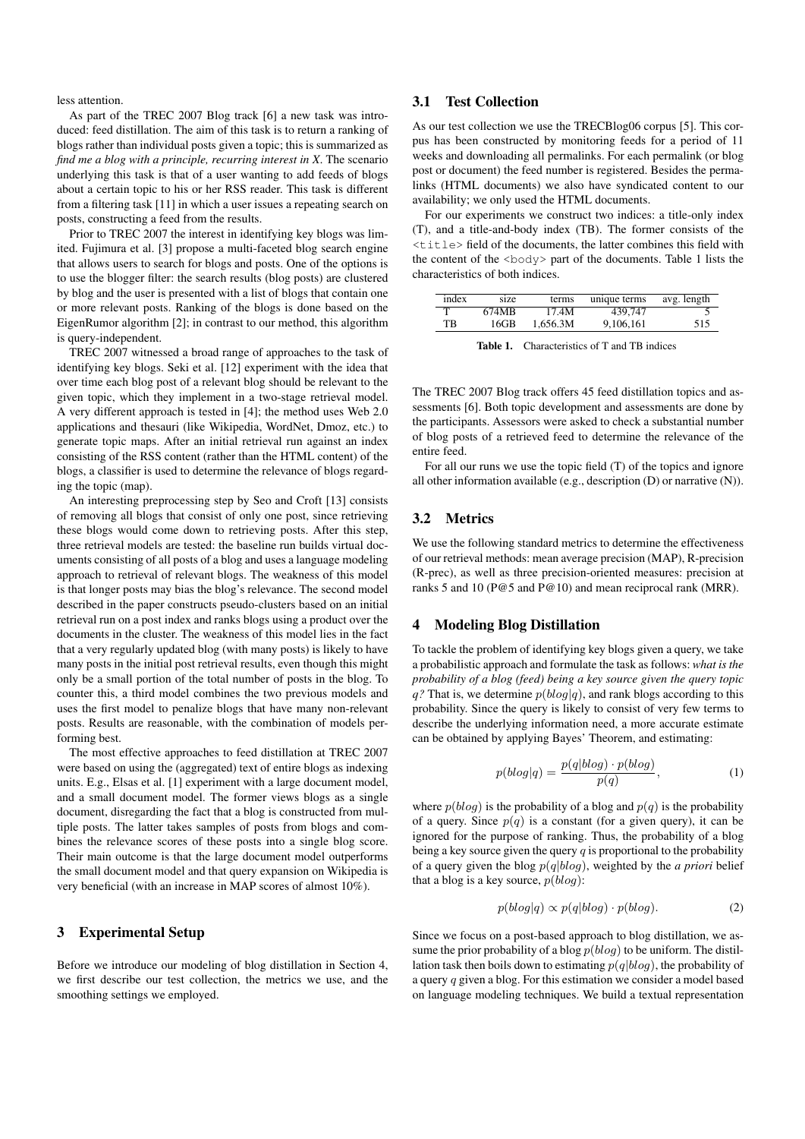less attention.

As part of the TREC 2007 Blog track [6] a new task was introduced: feed distillation. The aim of this task is to return a ranking of blogs rather than individual posts given a topic; this is summarized as *find me a blog with a principle, recurring interest in X*. The scenario underlying this task is that of a user wanting to add feeds of blogs about a certain topic to his or her RSS reader. This task is different from a filtering task [11] in which a user issues a repeating search on posts, constructing a feed from the results.

Prior to TREC 2007 the interest in identifying key blogs was limited. Fujimura et al. [3] propose a multi-faceted blog search engine that allows users to search for blogs and posts. One of the options is to use the blogger filter: the search results (blog posts) are clustered by blog and the user is presented with a list of blogs that contain one or more relevant posts. Ranking of the blogs is done based on the EigenRumor algorithm [2]; in contrast to our method, this algorithm is query-independent.

TREC 2007 witnessed a broad range of approaches to the task of identifying key blogs. Seki et al. [12] experiment with the idea that over time each blog post of a relevant blog should be relevant to the given topic, which they implement in a two-stage retrieval model. A very different approach is tested in [4]; the method uses Web 2.0 applications and thesauri (like Wikipedia, WordNet, Dmoz, etc.) to generate topic maps. After an initial retrieval run against an index consisting of the RSS content (rather than the HTML content) of the blogs, a classifier is used to determine the relevance of blogs regarding the topic (map).

An interesting preprocessing step by Seo and Croft [13] consists of removing all blogs that consist of only one post, since retrieving these blogs would come down to retrieving posts. After this step, three retrieval models are tested: the baseline run builds virtual documents consisting of all posts of a blog and uses a language modeling approach to retrieval of relevant blogs. The weakness of this model is that longer posts may bias the blog's relevance. The second model described in the paper constructs pseudo-clusters based on an initial retrieval run on a post index and ranks blogs using a product over the documents in the cluster. The weakness of this model lies in the fact that a very regularly updated blog (with many posts) is likely to have many posts in the initial post retrieval results, even though this might only be a small portion of the total number of posts in the blog. To counter this, a third model combines the two previous models and uses the first model to penalize blogs that have many non-relevant posts. Results are reasonable, with the combination of models performing best.

The most effective approaches to feed distillation at TREC 2007 were based on using the (aggregated) text of entire blogs as indexing units. E.g., Elsas et al. [1] experiment with a large document model, and a small document model. The former views blogs as a single document, disregarding the fact that a blog is constructed from multiple posts. The latter takes samples of posts from blogs and combines the relevance scores of these posts into a single blog score. Their main outcome is that the large document model outperforms the small document model and that query expansion on Wikipedia is very beneficial (with an increase in MAP scores of almost 10%).

## 3 Experimental Setup

Before we introduce our modeling of blog distillation in Section 4, we first describe our test collection, the metrics we use, and the smoothing settings we employed.

## 3.1 Test Collection

As our test collection we use the TRECBlog06 corpus [5]. This corpus has been constructed by monitoring feeds for a period of 11 weeks and downloading all permalinks. For each permalink (or blog post or document) the feed number is registered. Besides the permalinks (HTML documents) we also have syndicated content to our availability; we only used the HTML documents.

For our experiments we construct two indices: a title-only index (T), and a title-and-body index (TB). The former consists of the <title> field of the documents, the latter combines this field with the content of the <body> part of the documents. Table 1 lists the characteristics of both indices.

| index | size. | terms    | unique terms | avg. length |
|-------|-------|----------|--------------|-------------|
| ᠇     | 674MB | 17.4M    | 439,747      |             |
| TB.   | 16GB  | 1.656.3M | 9.106.161    | 515         |

Table 1. Characteristics of T and TB indices

The TREC 2007 Blog track offers 45 feed distillation topics and assessments [6]. Both topic development and assessments are done by the participants. Assessors were asked to check a substantial number of blog posts of a retrieved feed to determine the relevance of the entire feed.

For all our runs we use the topic field (T) of the topics and ignore all other information available (e.g., description (D) or narrative (N)).

## 3.2 Metrics

We use the following standard metrics to determine the effectiveness of our retrieval methods: mean average precision (MAP), R-precision (R-prec), as well as three precision-oriented measures: precision at ranks 5 and 10 (P@5 and P@10) and mean reciprocal rank (MRR).

#### 4 Modeling Blog Distillation

To tackle the problem of identifying key blogs given a query, we take a probabilistic approach and formulate the task as follows: *what is the probability of a blog (feed) being a key source given the query topic*  $q$ ? That is, we determine  $p(blog|q)$ , and rank blogs according to this probability. Since the query is likely to consist of very few terms to describe the underlying information need, a more accurate estimate can be obtained by applying Bayes' Theorem, and estimating:

$$
p(blog|q) = \frac{p(q|blog) \cdot p(blog)}{p(q)},\tag{1}
$$

where  $p(blog)$  is the probability of a blog and  $p(q)$  is the probability of a query. Since  $p(q)$  is a constant (for a given query), it can be ignored for the purpose of ranking. Thus, the probability of a blog being a key source given the query  $q$  is proportional to the probability of a query given the blog  $p(q|blog)$ , weighted by the *a priori* belief that a blog is a key source,  $p(blog)$ :

$$
p(blog|q) \propto p(q|blog) \cdot p(blog). \tag{2}
$$

Since we focus on a post-based approach to blog distillation, we assume the prior probability of a blog  $p(blog)$  to be uniform. The distillation task then boils down to estimating  $p(q|blog)$ , the probability of a query  $q$  given a blog. For this estimation we consider a model based on language modeling techniques. We build a textual representation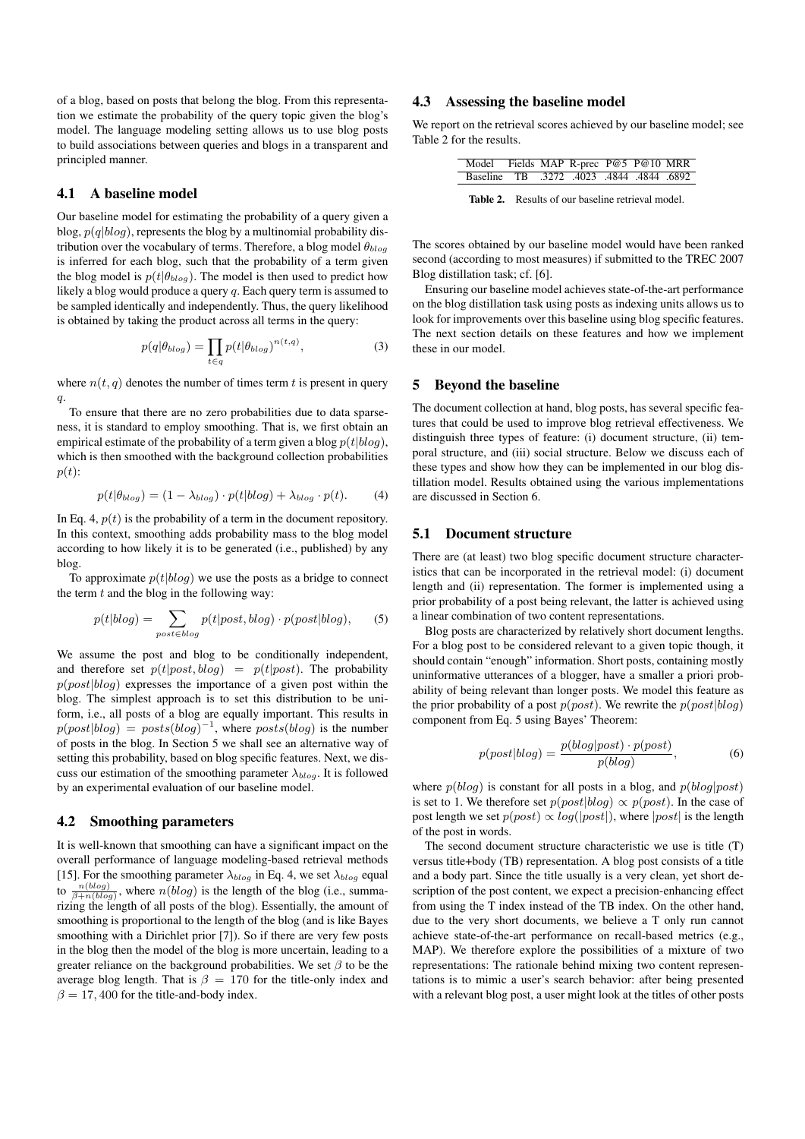of a blog, based on posts that belong the blog. From this representation we estimate the probability of the query topic given the blog's model. The language modeling setting allows us to use blog posts to build associations between queries and blogs in a transparent and principled manner.

## 4.1 A baseline model

Our baseline model for estimating the probability of a query given a blog,  $p(d|b|oa)$ , represents the blog by a multinomial probability distribution over the vocabulary of terms. Therefore, a blog model  $\theta_{block}$ is inferred for each blog, such that the probability of a term given the blog model is  $p(t|\theta_{blog})$ . The model is then used to predict how likely a blog would produce a query  $q$ . Each query term is assumed to be sampled identically and independently. Thus, the query likelihood is obtained by taking the product across all terms in the query:

$$
p(q|\theta_{blog}) = \prod_{t \in q} p(t|\theta_{blog})^{n(t,q)},
$$
\n(3)

where  $n(t, q)$  denotes the number of times term t is present in query q.

To ensure that there are no zero probabilities due to data sparseness, it is standard to employ smoothing. That is, we first obtain an empirical estimate of the probability of a term given a blog  $p(t|blog)$ , which is then smoothed with the background collection probabilities  $p(t)$ :

$$
p(t|\theta_{blog}) = (1 - \lambda_{blog}) \cdot p(t|blog) + \lambda_{blog} \cdot p(t). \tag{4}
$$

In Eq. 4,  $p(t)$  is the probability of a term in the document repository. In this context, smoothing adds probability mass to the blog model according to how likely it is to be generated (i.e., published) by any blog.

To approximate  $p(t|blog)$  we use the posts as a bridge to connect the term  $t$  and the blog in the following way:

$$
p(t|blog) = \sum_{post \in blog} p(t|post, blog) \cdot p(post|blog), \quad (5)
$$

We assume the post and blog to be conditionally independent, and therefore set  $p(t|post, blog) = p(t|post)$ . The probability  $p(post|blog)$  expresses the importance of a given post within the blog. The simplest approach is to set this distribution to be uniform, i.e., all posts of a blog are equally important. This results in  $p(post|blog) = posts(blog)^{-1}$ , where  $posts(blog)$  is the number of posts in the blog. In Section 5 we shall see an alternative way of setting this probability, based on blog specific features. Next, we discuss our estimation of the smoothing parameter  $\lambda_{blog}$ . It is followed by an experimental evaluation of our baseline model.

### 4.2 Smoothing parameters

It is well-known that smoothing can have a significant impact on the overall performance of language modeling-based retrieval methods [15]. For the smoothing parameter  $\lambda_{blog}$  in Eq. 4, we set  $\lambda_{blog}$  equal to  $\frac{n(b\log)}{\beta+n(b\log)}$ , where  $n(b\log)$  is the length of the blog (i.e., summarizing the length of all posts of the blog). Essentially, the amount of smoothing is proportional to the length of the blog (and is like Bayes smoothing with a Dirichlet prior [7]). So if there are very few posts in the blog then the model of the blog is more uncertain, leading to a greater reliance on the background probabilities. We set  $\beta$  to be the average blog length. That is  $\beta = 170$  for the title-only index and  $\beta = 17,400$  for the title-and-body index.

#### 4.3 Assessing the baseline model

We report on the retrieval scores achieved by our baseline model; see Table 2 for the results.

| Model Fields MAP R-prec P@5 P@10 MRR      |  |  |  |
|-------------------------------------------|--|--|--|
| Baseline TB .3272 .4023 .4844 .4844 .6892 |  |  |  |
|                                           |  |  |  |

Table 2. Results of our baseline retrieval model.

The scores obtained by our baseline model would have been ranked second (according to most measures) if submitted to the TREC 2007 Blog distillation task; cf. [6].

Ensuring our baseline model achieves state-of-the-art performance on the blog distillation task using posts as indexing units allows us to look for improvements over this baseline using blog specific features. The next section details on these features and how we implement these in our model.

## 5 Beyond the baseline

The document collection at hand, blog posts, has several specific features that could be used to improve blog retrieval effectiveness. We distinguish three types of feature: (i) document structure, (ii) temporal structure, and (iii) social structure. Below we discuss each of these types and show how they can be implemented in our blog distillation model. Results obtained using the various implementations are discussed in Section 6.

#### 5.1 Document structure

There are (at least) two blog specific document structure characteristics that can be incorporated in the retrieval model: (i) document length and (ii) representation. The former is implemented using a prior probability of a post being relevant, the latter is achieved using a linear combination of two content representations.

Blog posts are characterized by relatively short document lengths. For a blog post to be considered relevant to a given topic though, it should contain "enough" information. Short posts, containing mostly uninformative utterances of a blogger, have a smaller a priori probability of being relevant than longer posts. We model this feature as the prior probability of a post  $p(post)$ . We rewrite the  $p(post|blog)$ component from Eq. 5 using Bayes' Theorem:

$$
p(post|blog) = \frac{p(blog|post) \cdot p(post)}{p(blog)},
$$
\n(6)

where  $p(blog)$  is constant for all posts in a blog, and  $p(blog|post)$ is set to 1. We therefore set  $p(post|blog) \propto p(post)$ . In the case of post length we set  $p(post) \propto log(|post|)$ , where  $|post|$  is the length of the post in words.

The second document structure characteristic we use is title (T) versus title+body (TB) representation. A blog post consists of a title and a body part. Since the title usually is a very clean, yet short description of the post content, we expect a precision-enhancing effect from using the T index instead of the TB index. On the other hand, due to the very short documents, we believe a T only run cannot achieve state-of-the-art performance on recall-based metrics (e.g., MAP). We therefore explore the possibilities of a mixture of two representations: The rationale behind mixing two content representations is to mimic a user's search behavior: after being presented with a relevant blog post, a user might look at the titles of other posts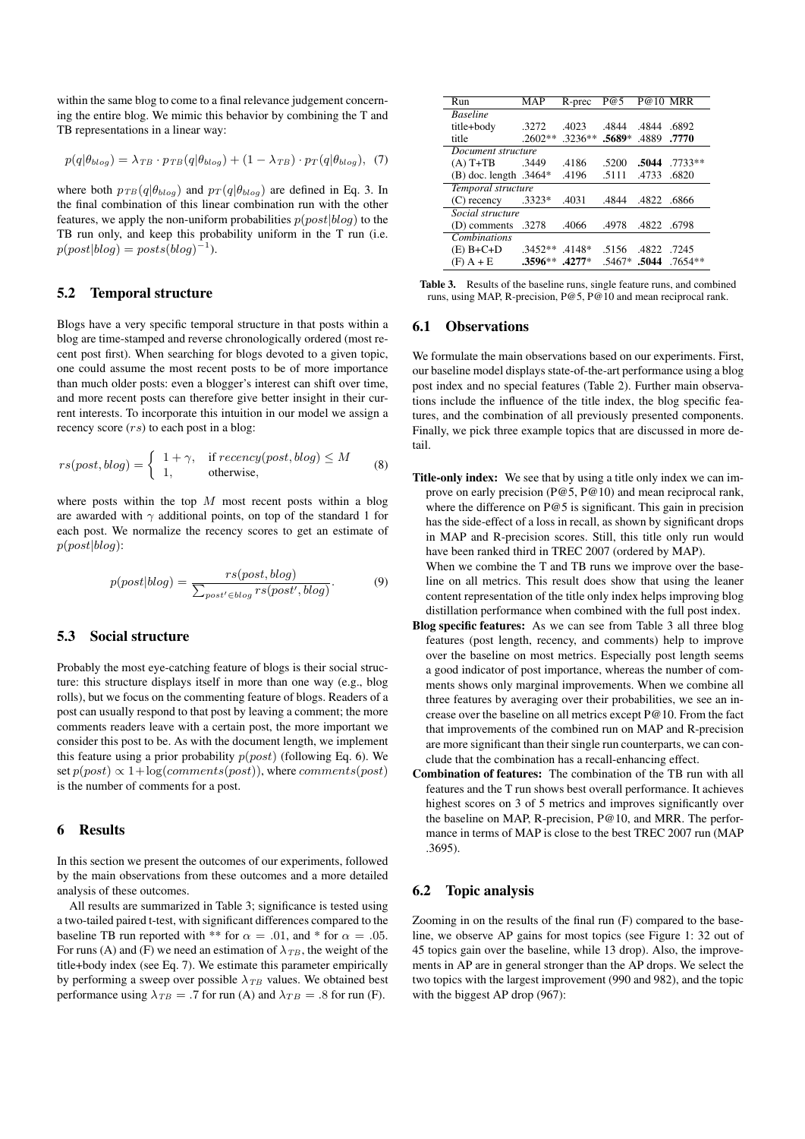within the same blog to come to a final relevance judgement concerning the entire blog. We mimic this behavior by combining the T and TB representations in a linear way:

$$
p(q|\theta_{blog}) = \lambda_{TB} \cdot p_{TB}(q|\theta_{blog}) + (1 - \lambda_{TB}) \cdot p_T(q|\theta_{blog}), \tag{7}
$$

where both  $p_{TB}(q|\theta_{blog})$  and  $p_T(q|\theta_{blog})$  are defined in Eq. 3. In the final combination of this linear combination run with the other features, we apply the non-uniform probabilities  $p(post|blog)$  to the TB run only, and keep this probability uniform in the T run (i.e.  $p(post|blog) = posts(blog)^{-1}$  $\mathbf{1}_{\lambda}$ 

# 5.2 Temporal structure

Blogs have a very specific temporal structure in that posts within a blog are time-stamped and reverse chronologically ordered (most recent post first). When searching for blogs devoted to a given topic, one could assume the most recent posts to be of more importance than much older posts: even a blogger's interest can shift over time, and more recent posts can therefore give better insight in their current interests. To incorporate this intuition in our model we assign a recency score (rs) to each post in a blog:

$$
rs(post, blog) = \begin{cases} 1 + \gamma, & \text{if } recency(post, blog) \le M \\ 1, & \text{otherwise,} \end{cases}
$$
(8)

where posts within the top  $M$  most recent posts within a blog are awarded with  $\gamma$  additional points, on top of the standard 1 for each post. We normalize the recency scores to get an estimate of  $p(post|blog)$ :

$$
p(post|blog) = \frac{rs(post, blog)}{\sum_{post' \in blog} rs(post', blog)}.
$$
 (9)

#### 5.3 Social structure

Probably the most eye-catching feature of blogs is their social structure: this structure displays itself in more than one way (e.g., blog rolls), but we focus on the commenting feature of blogs. Readers of a post can usually respond to that post by leaving a comment; the more comments readers leave with a certain post, the more important we consider this post to be. As with the document length, we implement this feature using a prior probability  $p(post)$  (following Eq. 6). We set  $p(post) \propto 1 + \log(comments(post))$ , where comments(post) is the number of comments for a post.

## 6 Results

In this section we present the outcomes of our experiments, followed by the main observations from these outcomes and a more detailed analysis of these outcomes.

All results are summarized in Table 3; significance is tested using a two-tailed paired t-test, with significant differences compared to the baseline TB run reported with \*\* for  $\alpha = .01$ , and \* for  $\alpha = .05$ . For runs (A) and (F) we need an estimation of  $\lambda_{TB}$ , the weight of the title+body index (see Eq. 7). We estimate this parameter empirically by performing a sweep over possible  $\lambda_{TB}$  values. We obtained best performance using  $\lambda_{TB} = .7$  for run (A) and  $\lambda_{TB} = .8$  for run (F).

| Run                      | <b>MAP</b> | R-prec    | P@5      | P@10 MRR |           |  |  |
|--------------------------|------------|-----------|----------|----------|-----------|--|--|
| <b>Baseline</b>          |            |           |          |          |           |  |  |
| title+body               | .3272      | .4023     | 4844     | .4844    | .6892     |  |  |
| title                    | $.2602**$  | $.3236**$ | .5689*   | .4889    | .7770     |  |  |
| Document structure       |            |           |          |          |           |  |  |
| $(A) T + TB$             | .3449      | .4186     | .5200    | .5044    | $.7733**$ |  |  |
| $(B)$ doc. length .3464* |            | .4196     | .5111    | .4733    | .6820     |  |  |
| Temporal structure       |            |           |          |          |           |  |  |
| $(C)$ recency            | $.3323*$   | .4031     | .4844    | .4822    | .6866     |  |  |
| Social structure         |            |           |          |          |           |  |  |
| (D) comments             | .3278      | .4066     | .4978    | .4822    | .6798     |  |  |
| Combinations             |            |           |          |          |           |  |  |
| $(E) B+C+D$              | $.3452**$  | $.4148*$  | .5156    | .4822    | .7245     |  |  |
| $(F)$ A + E              | $.3596**$  | $.4277*$  | $.5467*$ | .5044    | $.7654**$ |  |  |

Table 3. Results of the baseline runs, single feature runs, and combined runs, using MAP, R-precision, P@5, P@10 and mean reciprocal rank.

#### 6.1 Observations

We formulate the main observations based on our experiments. First, our baseline model displays state-of-the-art performance using a blog post index and no special features (Table 2). Further main observations include the influence of the title index, the blog specific features, and the combination of all previously presented components. Finally, we pick three example topics that are discussed in more detail.

Title-only index: We see that by using a title only index we can improve on early precision (P@5, P@10) and mean reciprocal rank, where the difference on P@5 is significant. This gain in precision has the side-effect of a loss in recall, as shown by significant drops in MAP and R-precision scores. Still, this title only run would have been ranked third in TREC 2007 (ordered by MAP). When we combine the T and TB runs we improve over the baseline on all metrics. This result does show that using the leaner

content representation of the title only index helps improving blog distillation performance when combined with the full post index.

- Blog specific features: As we can see from Table 3 all three blog features (post length, recency, and comments) help to improve over the baseline on most metrics. Especially post length seems a good indicator of post importance, whereas the number of comments shows only marginal improvements. When we combine all three features by averaging over their probabilities, we see an increase over the baseline on all metrics except P@10. From the fact that improvements of the combined run on MAP and R-precision are more significant than their single run counterparts, we can conclude that the combination has a recall-enhancing effect.
- Combination of features: The combination of the TB run with all features and the T run shows best overall performance. It achieves highest scores on 3 of 5 metrics and improves significantly over the baseline on MAP, R-precision, P@10, and MRR. The performance in terms of MAP is close to the best TREC 2007 run (MAP .3695).

## 6.2 Topic analysis

Zooming in on the results of the final run (F) compared to the baseline, we observe AP gains for most topics (see Figure 1: 32 out of 45 topics gain over the baseline, while 13 drop). Also, the improvements in AP are in general stronger than the AP drops. We select the two topics with the largest improvement (990 and 982), and the topic with the biggest AP drop (967):